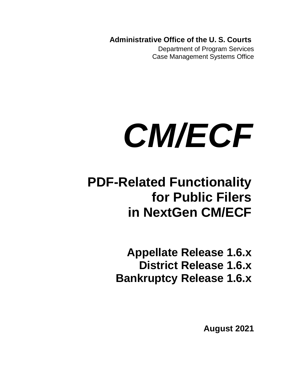**Administrative Office of the U. S. Courts**

Department of Program Services Case Management Systems Office

# *CM/ECF*

# **PDF-Related Functionality for Public Filers in NextGen CM/ECF**

**Appellate Release 1.6.x District Release 1.6.x Bankruptcy Release 1.6.x**

**August 2021**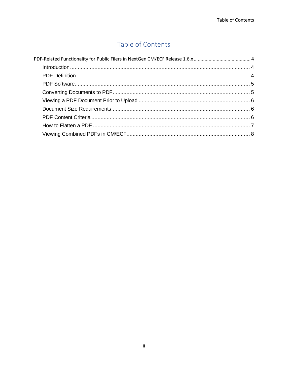### Table of Contents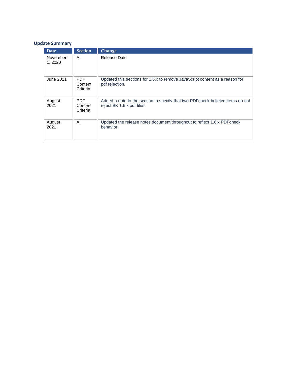#### **Update Summary**

| Date                | <b>Section</b>                    | <b>Change</b>                                                                                                 |
|---------------------|-----------------------------------|---------------------------------------------------------------------------------------------------------------|
| November<br>1, 2020 | All                               | Release Date                                                                                                  |
| June 2021           | <b>PDF</b><br>Content<br>Criteria | Updated this sections for 1.6.x to remove JavaScript content as a reason for<br>pdf rejection.                |
| August<br>2021      | <b>PDF</b><br>Content<br>Criteria | Added a note to the section to specify that two PDF check bulleted items do not<br>reject BK 1.6.x pdf files. |
| August<br>2021      | All                               | Updated the release notes document throughout to reflect 1.6.x PDF check<br>behavior.                         |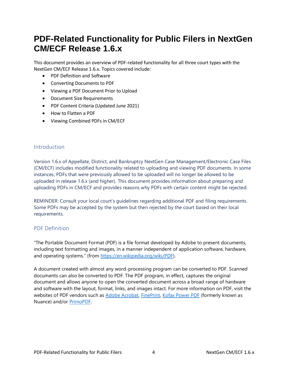## <span id="page-3-0"></span>**PDF-Related Functionality for Public Filers in NextGen CM/ECF Release 1.6.x**

This document provides an overview of PDF-related functionality for all three court types with the NextGen CM/ECF Release 1.6.x. Topics covered include:

- PDF Definition and Software
- Converting Documents to PDF
- Viewing a PDF Document Prior to Upload
- Document Size Requirements
- PDF Content Criteria (Updated June 2021)
- How to Flatten a PDF
- Viewing Combined PDFs in CM/ECF

#### <span id="page-3-1"></span>Introduction

Version 1.6.x of Appellate, District, and Bankruptcy NextGen Case Management/Electronic Case Files (CM/ECF) includes modified functionality related to uploading and viewing PDF documents. In some instances, PDFs that were previously allowed to be uploaded will no longer be allowed to be uploaded in release 1.6.x (and higher). This document provides information about preparing and uploading PDFs in CM/ECF and provides reasons why PDFs with certain content might be rejected.

REMINDER: Consult your local court's guidelines regarding additional PDF and filing requirements. Some PDFs may be accepted by the system but then rejected by the court based on their local requirements.

#### <span id="page-3-2"></span>PDF Definition

"The Portable Document Format (PDF) is a file format developed by Adobe to present documents, including text formatting and images, in a manner independent of application software, hardware, and operating systems." (from [https://en.wikipedia.org/wiki/PDF\)](https://en.wikipedia.org/wiki/PDF).

A document created with almost any word-processing program can be converted to PDF. Scanned documents can also be converted to PDF. The PDF program, in effect, captures the original document and allows anyone to open the converted document across a broad range of hardware and software with the layout, format, links, and images intact. For more information on PDF, visit the websites of PDF vendors such as [Adobe Acrobat,](https://acrobat.adobe.com/us/en/acrobat.html) [FinePrint,](https://fineprint.com/) [Kofax Power PDF](https://www.kofax.com/Products/power-pdf) (formerly known as Nuance) and/or [PrimoPDF.](https://www.primopdf.com/)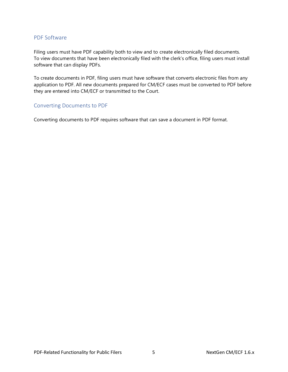#### <span id="page-4-0"></span>PDF Software

Filing users must have PDF capability both to view and to create electronically filed documents. To view documents that have been electronically filed with the clerk's office, filing users must install software that can display PDFs.

To create documents in PDF, filing users must have software that converts electronic files from any application to PDF. All new documents prepared for CM/ECF cases must be converted to PDF before they are entered into CM/ECF or transmitted to the Court.

#### <span id="page-4-1"></span>Converting Documents to PDF

Converting documents to PDF requires software that can save a document in PDF format.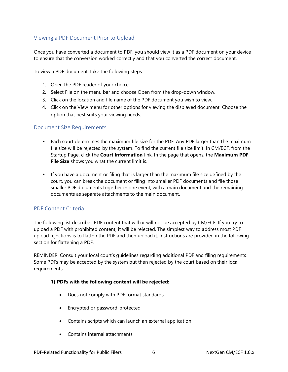#### <span id="page-5-0"></span>Viewing a PDF Document Prior to Upload

Once you have converted a document to PDF, you should view it as a PDF document on your device to ensure that the conversion worked correctly and that you converted the correct document.

To view a PDF document, take the following steps:

- 1. Open the PDF reader of your choice.
- 2. Select File on the menu bar and choose Open from the drop-down window.
- 3. Click on the location and file name of the PDF document you wish to view.
- 4. Click on the View menu for other options for viewing the displayed document. Choose the option that best suits your viewing needs.

#### <span id="page-5-1"></span>Document Size Requirements

- Each court determines the maximum file size for the PDF. Any PDF larger than the maximum file size will be rejected by the system. To find the current file size limit: In CM/ECF, from the Startup Page, click the **Court Information** link. In the page that opens, the **Maximum PDF File Size** shows you what the current limit is.
- If you have a document or filing that is larger than the maximum file size defined by the court, you can break the document or filing into smaller PDF documents and file those smaller PDF documents together in one event, with a main document and the remaining documents as separate attachments to the main document.

#### <span id="page-5-2"></span>PDF Content Criteria

The following list describes PDF content that will or will not be accepted by CM/ECF. If you try to upload a PDF with prohibited content, it will be rejected. The simplest way to address most PDF upload rejections is to flatten the PDF and then upload it. Instructions are provided in the following section for flattening a PDF.

REMINDER: Consult your local court's guidelines regarding additional PDF and filing requirements. Some PDFs may be accepted by the system but then rejected by the court based on their local requirements.

#### **1) PDFs with the following content will be rejected:**

- Does not comply with PDF format standards
- Encrypted or password-protected
- Contains scripts which can launch an external application
- Contains internal attachments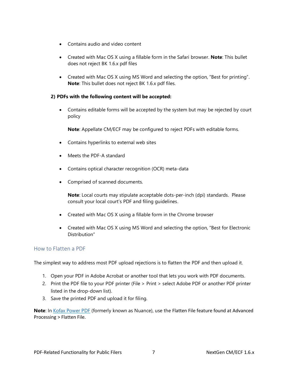- Contains audio and video content
- Created with Mac OS X using a fillable form in the Safari browser. **Note**: This bullet does not reject BK 1.6.x pdf files
- Created with Mac OS X using MS Word and selecting the option, "Best for printing". **Note**: This bullet does not reject BK 1.6.x pdf files.

#### **2) PDFs with the following content will be accepted:**

• Contains editable forms will be accepted by the system but may be rejected by court policy

**Note**: Appellate CM/ECF may be configured to reject PDFs with editable forms.

- Contains hyperlinks to external web sites
- Meets the PDF-A standard
- Contains optical character recognition (OCR) meta-data
- Comprised of scanned documents.

**Note**: Local courts may stipulate acceptable dots-per-inch (dpi) standards. Please consult your local court's PDF and filing guidelines.

- Created with Mac OS X using a fillable form in the Chrome browser
- Created with Mac OS X using MS Word and selecting the option, "Best for Electronic Distribution"

#### <span id="page-6-0"></span>How to Flatten a PDF

The simplest way to address most PDF upload rejections is to flatten the PDF and then upload it.

- 1. Open your PDF in Adobe Acrobat or another tool that lets you work with PDF documents.
- 2. Print the PDF file to your PDF printer (File > Print > select Adobe PDF or another PDF printer listed in the drop-down list).
- 3. Save the printed PDF and upload it for filing.

Note: In [Kofax Power PDF](https://www.kofax.com/Products/power-pdf) (formerly known as Nuance), use the Flatten File feature found at Advanced Processing > Flatten File.